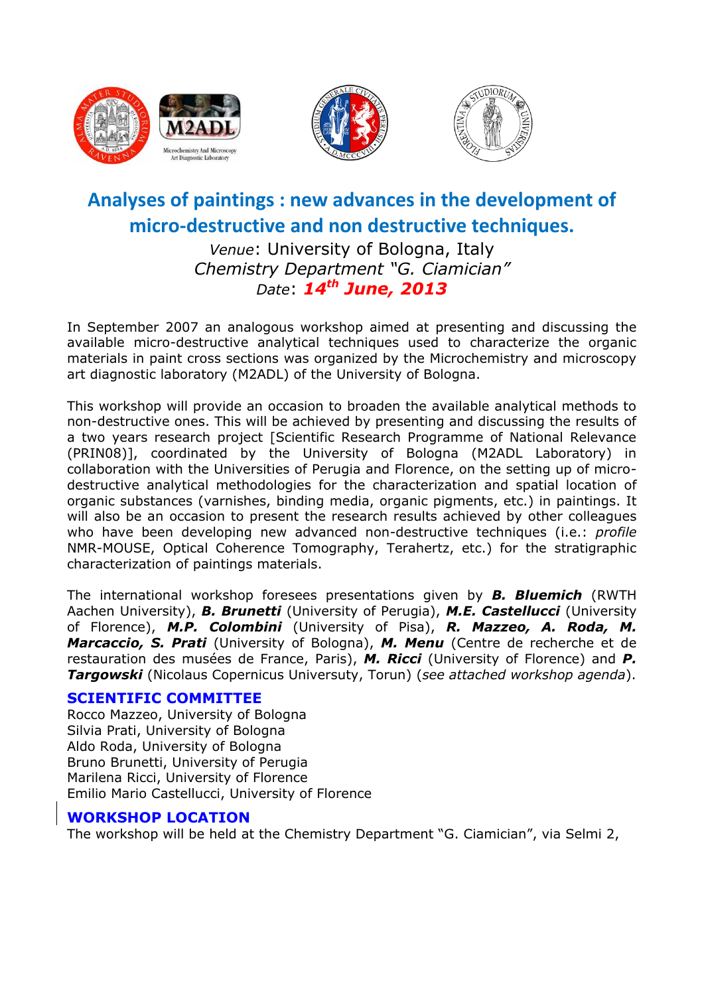





# **Analyses of paintings : new advances in the development of micro-destructive and non destructive techniques.**

*Venue*: University of Bologna, Italy *Chemistry Department "G. Ciamician" Date*: *14th June, 2013*

In September 2007 an analogous workshop aimed at presenting and discussing the available micro-destructive analytical techniques used to characterize the organic materials in paint cross sections was organized by the Microchemistry and microscopy art diagnostic laboratory (M2ADL) of the University of Bologna.

This workshop will provide an occasion to broaden the available analytical methods to non-destructive ones. This will be achieved by presenting and discussing the results of a two years research project [Scientific Research Programme of National Relevance (PRIN08)], coordinated by the University of Bologna (M2ADL Laboratory) in collaboration with the Universities of Perugia and Florence, on the setting up of microdestructive analytical methodologies for the characterization and spatial location of organic substances (varnishes, binding media, organic pigments, etc.) in paintings. It will also be an occasion to present the research results achieved by other colleagues who have been developing new advanced non-destructive techniques (i.e.: *profile* NMR-MOUSE, Optical Coherence Tomography, Terahertz, etc.) for the stratigraphic characterization of paintings materials.

The international workshop foresees presentations given by *B. Bluemich* (RWTH Aachen University), *B. Brunetti* (University of Perugia), *M.E. Castellucci* (University of Florence), *M.P. Colombini* (University of Pisa), *R. Mazzeo, A. Roda, M. Marcaccio, S. Prati* (University of Bologna), *M. Menu* (Centre de recherche et de restauration des musées de France, Paris), *M. Ricci* (University of Florence) and *P. Targowski* (Nicolaus Copernicus Universuty, Torun) (*see attached workshop agenda*).

#### **SCIENTIFIC COMMITTEE**

Rocco Mazzeo, University of Bologna Silvia Prati, University of Bologna Aldo Roda, University of Bologna Bruno Brunetti, University of Perugia Marilena Ricci, University of Florence Emilio Mario Castellucci, University of Florence

### **WORKSHOP LOCATION**

The workshop will be held at the Chemistry Department "G. Ciamician", via Selmi 2,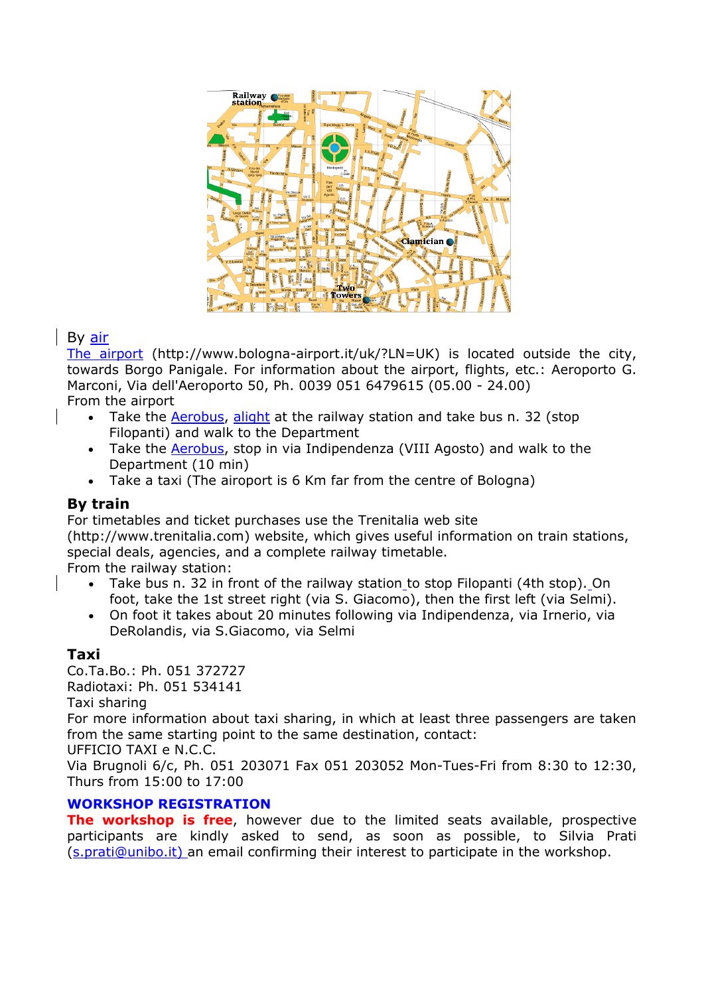

# By air

[The airport](http://www.bologna-airport.it/?LN=UK) (http://www.bologna-airport.it/uk/?LN=UK) is located outside the city, towards Borgo Panigale. For information about the airport, flights, etc.: Aeroporto G. Marconi, Via dell'Aeroporto 50, Ph. 0039 051 6479615 (05.00 - 24.00) From the airport

- Take the [Aerobus,](http://www.atc.bo.it/) alight at the railway station and take bus n. 32 (stop Filopanti) and walk to the Department
- Take the [Aerobus,](http://www.atc.bo.it/) stop in via Indipendenza (VIII Agosto) and walk to the Department (10 min)
- Take a taxi (The airoport is 6 Km far from the centre of Bologna)

# **By train**

For timetables and ticket purchases use the Trenitalia web site

(http://www.trenitalia.com) website, which gives useful information on train stations, special deals, agencies, and a complete railway timetable.

From the railway station:

- Take bus n. 32 in front of the railway station to stop Filopanti (4th stop). On foot, take the 1st street right (via S. Giacomo), then the first left (via Selmi).
- On foot it takes about 20 minutes following via Indipendenza, via Irnerio, via DeRolandis, via S.Giacomo, via Selmi

# **Taxi**

Co.Ta.Bo.: Ph. 051 372727 Radiotaxi: Ph. 051 534141 Taxi sharing

For more information about taxi sharing, in which at least three passengers are taken from the same starting point to the same destination, contact:

UFFICIO TAXI e N.C.C.

Via Brugnoli 6/c, Ph. 051 203071 Fax 051 203052 Mon-Tues-Fri from 8:30 to 12:30, Thurs from 15:00 to 17:00

### **WORKSHOP REGISTRATION**

**The workshop is free**, however due to the limited seats available, prospective participants are kindly asked to send, as soon as possible, to Silvia Prati [\(s.prati@unibo.it\)](mailto:s.prati@unibo.it) an email confirming their interest to participate in the workshop.